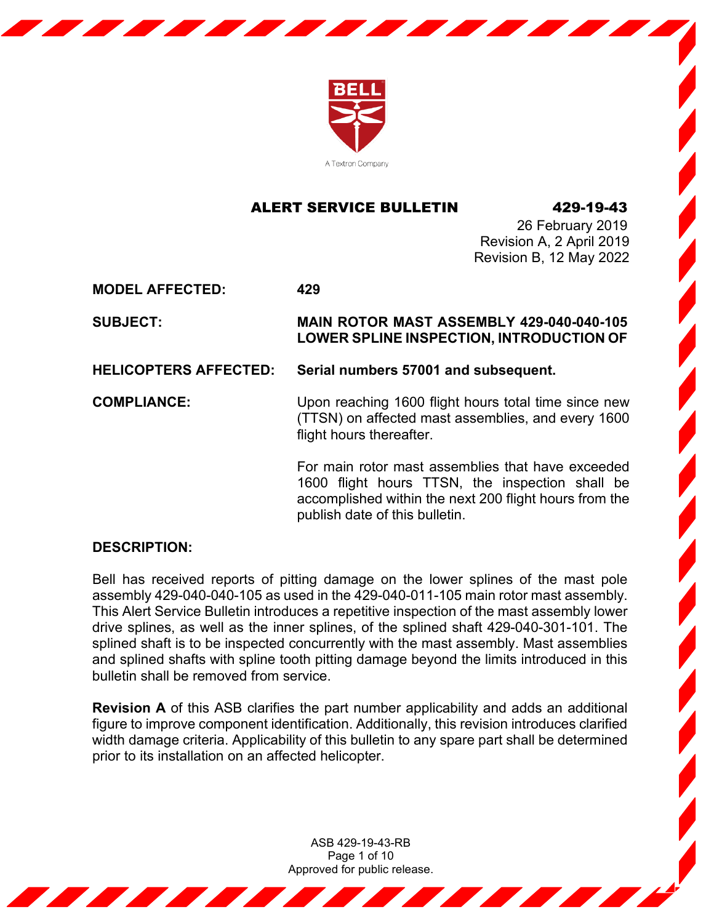

#### ALERT SERVICE BULLETIN 429-19-43

26 February 2019 Revision A, 2 April 2019 Revision B, 12 May 2022

**MODEL AFFECTED: 429**

**SUBJECT: MAIN ROTOR MAST ASSEMBLY 429-040-040-105 LOWER SPLINE INSPECTION, INTRODUCTION OF**

**HELICOPTERS AFFECTED: Serial numbers 57001 and subsequent.**

**COMPLIANCE:** Upon reaching 1600 flight hours total time since new (TTSN) on affected mast assemblies, and every 1600 flight hours thereafter.

> For main rotor mast assemblies that have exceeded 1600 flight hours TTSN, the inspection shall be accomplished within the next 200 flight hours from the publish date of this bulletin.

## **DESCRIPTION:**

Bell has received reports of pitting damage on the lower splines of the mast pole assembly 429-040-040-105 as used in the 429-040-011-105 main rotor mast assembly. This Alert Service Bulletin introduces a repetitive inspection of the mast assembly lower drive splines, as well as the inner splines, of the splined shaft 429-040-301-101. The splined shaft is to be inspected concurrently with the mast assembly. Mast assemblies and splined shafts with spline tooth pitting damage beyond the limits introduced in this bulletin shall be removed from service.

**Revision A** of this ASB clarifies the part number applicability and adds an additional figure to improve component identification. Additionally, this revision introduces clarified width damage criteria. Applicability of this bulletin to any spare part shall be determined prior to its installation on an affected helicopter.

> ASB 429-19-43-RB Page 1 of 10 Approved for public release.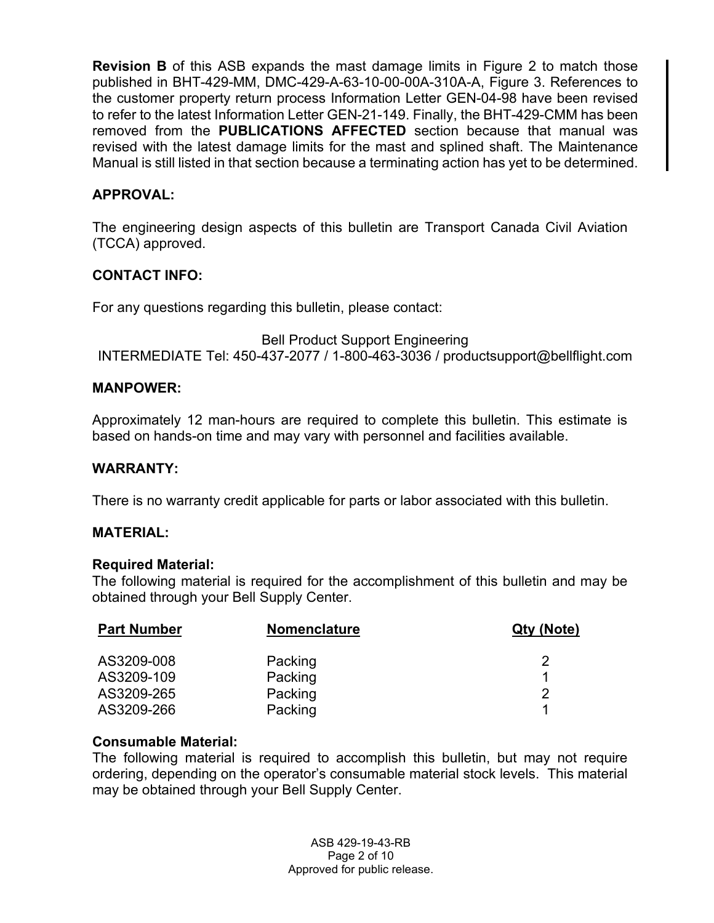**Revision B** of this ASB expands the mast damage limits in Figure 2 to match those published in BHT-429-MM, DMC-429-A-63-10-00-00A-310A-A, Figure 3. References to the customer property return process Information Letter GEN-04-98 have been revised to refer to the latest Information Letter GEN-21-149. Finally, the BHT-429-CMM has been removed from the **PUBLICATIONS AFFECTED** section because that manual was revised with the latest damage limits for the mast and splined shaft. The Maintenance Manual is still listed in that section because a terminating action has yet to be determined.

# **APPROVAL:**

The engineering design aspects of this bulletin are Transport Canada Civil Aviation (TCCA) approved.

## **CONTACT INFO:**

For any questions regarding this bulletin, please contact:

```
Bell Product Support Engineering
INTERMEDIATE Tel: 450-437-2077 / 1-800-463-3036 / productsupport@bellflight.com
```
## **MANPOWER:**

Approximately 12 man-hours are required to complete this bulletin. This estimate is based on hands-on time and may vary with personnel and facilities available.

## **WARRANTY:**

There is no warranty credit applicable for parts or labor associated with this bulletin.

## **MATERIAL:**

## **Required Material:**

The following material is required for the accomplishment of this bulletin and may be obtained through your Bell Supply Center.

| <b>Part Number</b> | <b>Nomenclature</b> | Qty (Note) |  |
|--------------------|---------------------|------------|--|
| AS3209-008         | Packing             | 2          |  |
| AS3209-109         | Packing             |            |  |
| AS3209-265         | Packing             | 2          |  |
| AS3209-266         | Packing             |            |  |

## **Consumable Material:**

The following material is required to accomplish this bulletin, but may not require ordering, depending on the operator's consumable material stock levels. This material may be obtained through your Bell Supply Center.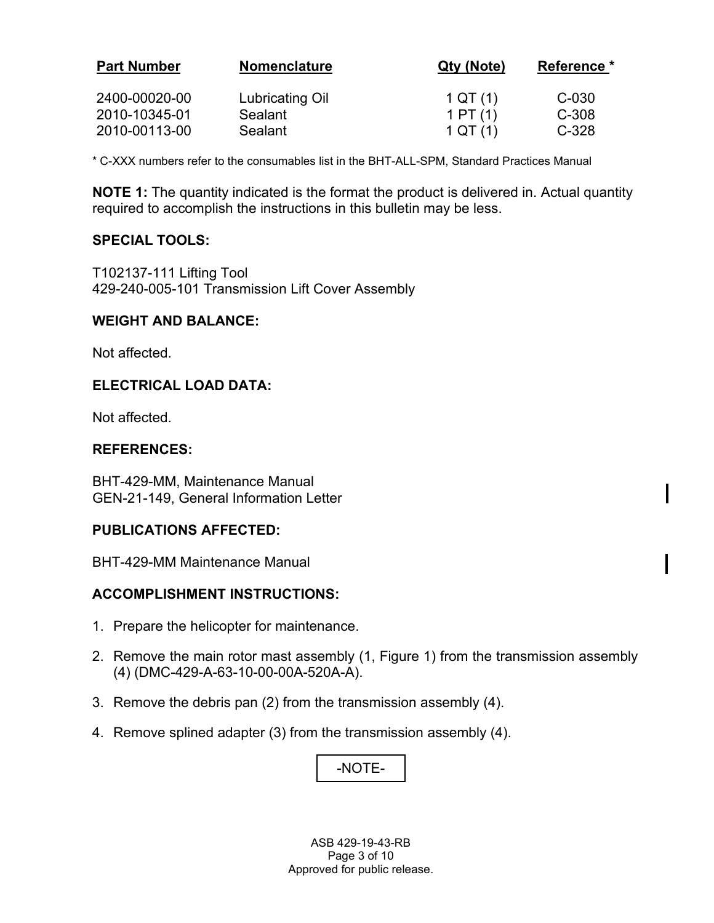| <b>Part Number</b>             | <b>Nomenclature</b>        | Qty (Note)            | Reference *        |
|--------------------------------|----------------------------|-----------------------|--------------------|
| 2400-00020-00<br>2010-10345-01 | Lubricating Oil<br>Sealant | 1 QT(1)<br>1 PT $(1)$ | $C-030$<br>$C-308$ |
| 2010-00113-00                  | Sealant                    | 1 QT(1)               | $C-328$            |

\* C-XXX numbers refer to the consumables list in the BHT-ALL-SPM, Standard Practices Manual

**NOTE 1:** The quantity indicated is the format the product is delivered in. Actual quantity required to accomplish the instructions in this bulletin may be less.

## **SPECIAL TOOLS:**

T102137-111 Lifting Tool 429-240-005-101 Transmission Lift Cover Assembly

#### **WEIGHT AND BALANCE:**

Not affected.

## **ELECTRICAL LOAD DATA:**

Not affected.

#### **REFERENCES:**

BHT-429-MM, Maintenance Manual GEN-21-149, General Information Letter

## **PUBLICATIONS AFFECTED:**

BHT-429-MM Maintenance Manual

## **ACCOMPLISHMENT INSTRUCTIONS:**

- 1. Prepare the helicopter for maintenance.
- 2. Remove the main rotor mast assembly (1, Figure 1) from the transmission assembly (4) (DMC-429-A-63-10-00-00A-520A-A).
- 3. Remove the debris pan (2) from the transmission assembly (4).
- 4. Remove splined adapter (3) from the transmission assembly (4).

# -NOTE-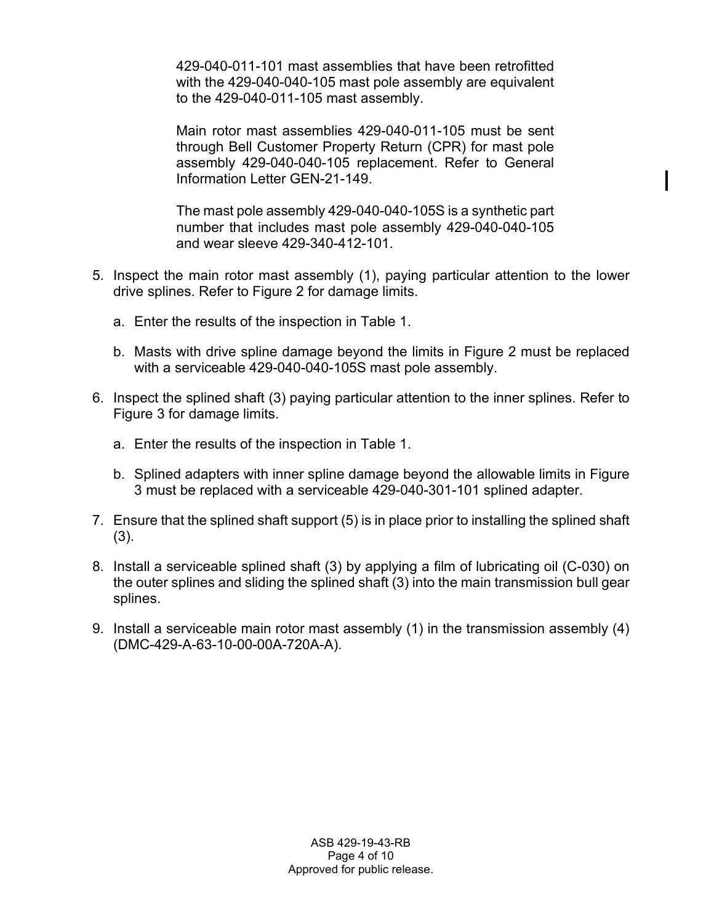429-040-011-101 mast assemblies that have been retrofitted with the 429-040-040-105 mast pole assembly are equivalent to the 429-040-011-105 mast assembly.

Main rotor mast assemblies 429-040-011-105 must be sent through Bell Customer Property Return (CPR) for mast pole assembly 429-040-040-105 replacement. Refer to General Information Letter GEN-21-149.

The mast pole assembly 429-040-040-105S is a synthetic part number that includes mast pole assembly 429-040-040-105 and wear sleeve 429-340-412-101.

- 5. Inspect the main rotor mast assembly (1), paying particular attention to the lower drive splines. Refer to Figure 2 for damage limits.
	- a. Enter the results of the inspection in Table 1.
	- b. Masts with drive spline damage beyond the limits in Figure 2 must be replaced with a serviceable 429-040-040-105S mast pole assembly.
- 6. Inspect the splined shaft (3) paying particular attention to the inner splines. Refer to Figure 3 for damage limits.
	- a. Enter the results of the inspection in Table 1.
	- b. Splined adapters with inner spline damage beyond the allowable limits in Figure 3 must be replaced with a serviceable 429-040-301-101 splined adapter.
- 7. Ensure that the splined shaft support (5) is in place prior to installing the splined shaft (3).
- 8. Install a serviceable splined shaft (3) by applying a film of lubricating oil (C-030) on the outer splines and sliding the splined shaft (3) into the main transmission bull gear splines.
- 9. Install a serviceable main rotor mast assembly (1) in the transmission assembly (4) (DMC-429-A-63-10-00-00A-720A-A).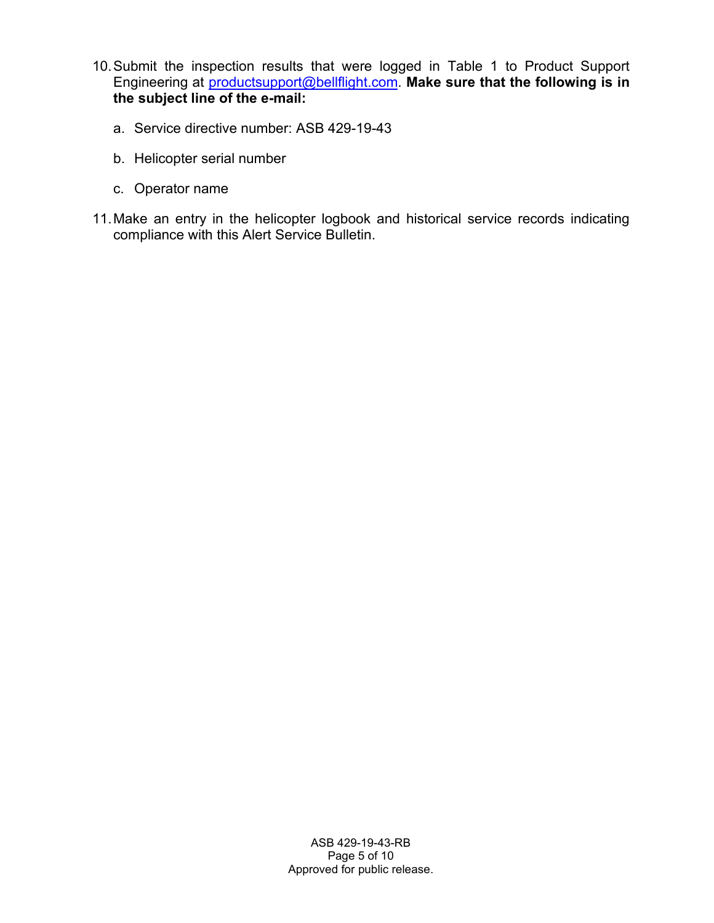- 10.Submit the inspection results that were logged in Table 1 to Product Support Engineering at [productsupport@bellflight.com.](mailto:productsupport@bellflight.com) **Make sure that the following is in the subject line of the e-mail:**
	- a. Service directive number: ASB 429-19-43
	- b. Helicopter serial number
	- c. Operator name
- 11.Make an entry in the helicopter logbook and historical service records indicating compliance with this Alert Service Bulletin.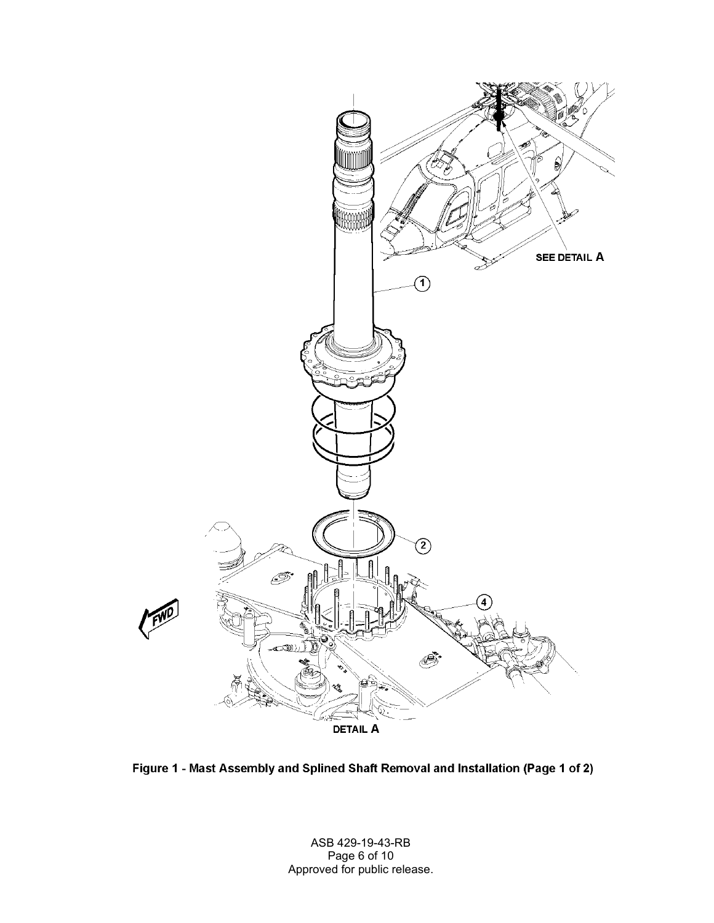

Figure 1 - Mast Assembly and Splined Shaft Removal and Installation (Page 1 of 2)

ASB 429-19-43-RB Page 6 of 10 Approved for public release.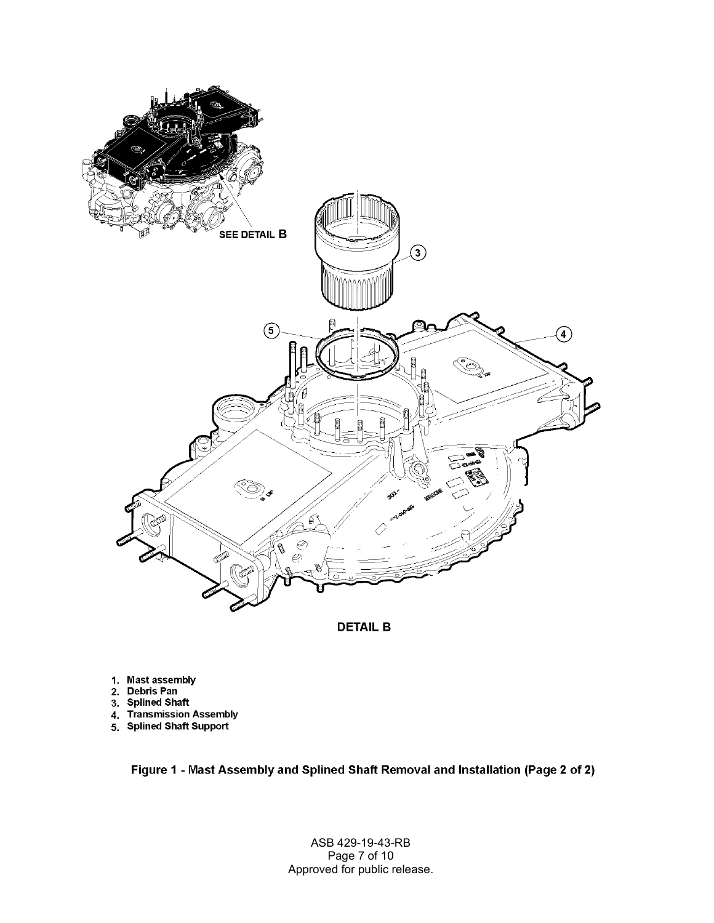



- 1. Mast assembly<br>2. Debris Pan
- 
- 3. Splined Shaft
- 4. Transmission Assembly<br>5. Splined Shaft Support
- 

Figure 1 - Mast Assembly and Splined Shaft Removal and Installation (Page 2 of 2)

ASB 429-19-43-RB Page 7 of 10 Approved for public release.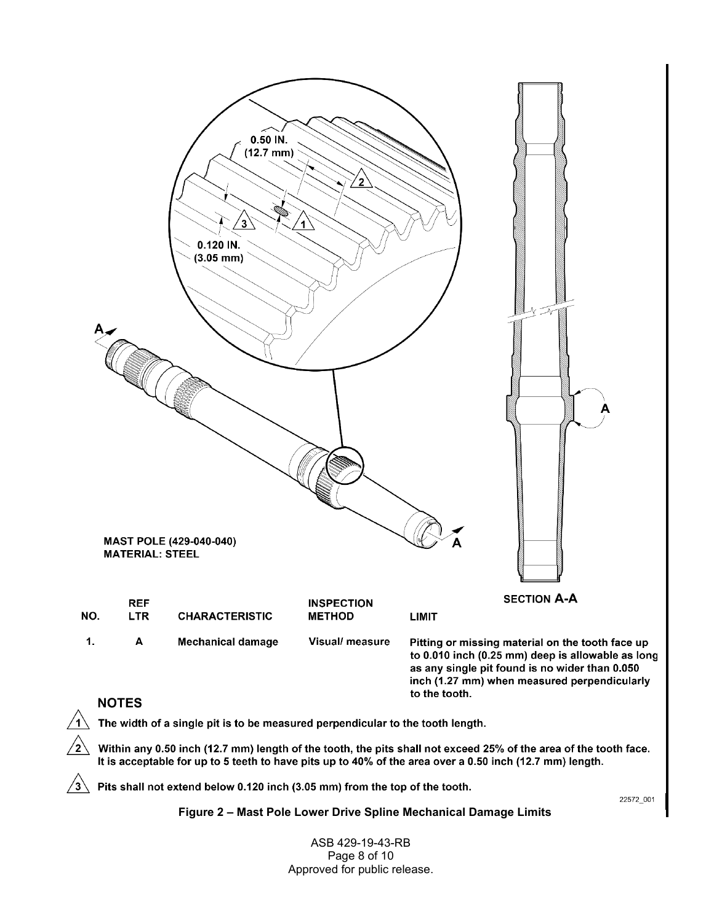

#### **NOTES**

The width of a single pit is to be measured perpendicular to the tooth length.

Within any 0.50 inch (12.7 mm) length of the tooth, the pits shall not exceed 25% of the area of the tooth face. It is acceptable for up to 5 teeth to have pits up to 40% of the area over a 0.50 inch (12.7 mm) length.

 $\sqrt{3}$  Pits shall not extend below 0.120 inch (3.05 mm) from the top of the tooth.

22572\_001

#### **Figure 2 – Mast Pole Lower Drive Spline Mechanical Damage Limits**

ASB 429-19-43-RB Page 8 of 10 Approved for public release.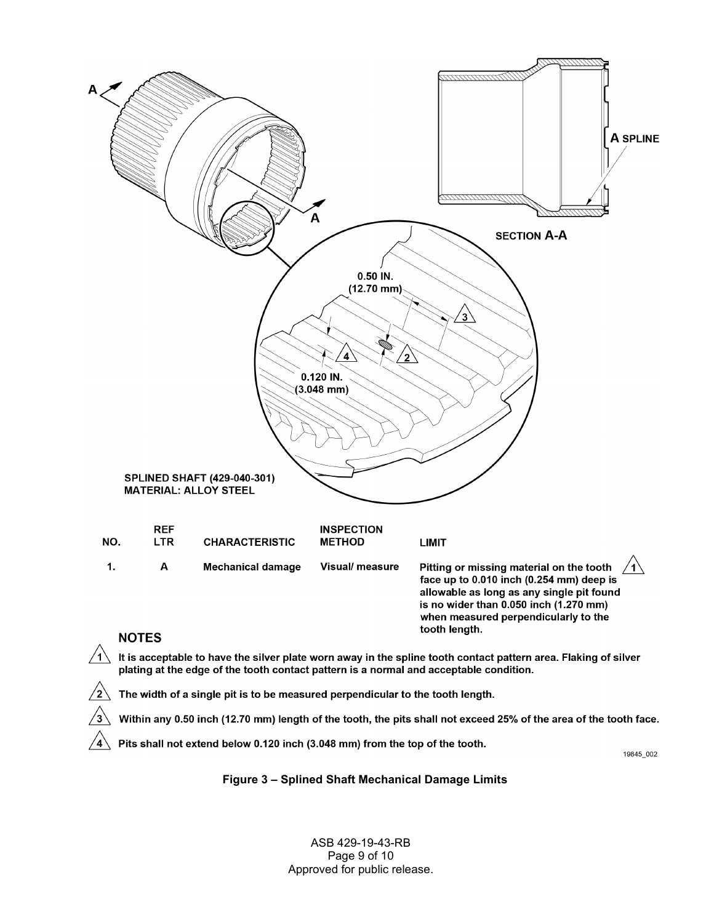

It is acceptable to have the silver plate worn away in the spline tooth contact pattern area. Flaking of silver plating at the edge of the tooth contact pattern is a normal and acceptable condition.

The width of a single pit is to be measured perpendicular to the tooth length.

Within any 0.50 inch (12.70 mm) length of the tooth, the pits shall not exceed 25% of the area of the tooth face.

Pits shall not extend below 0.120 inch (3.048 mm) from the top of the tooth.

19845\_002

#### **Figure 3 – Splined Shaft Mechanical Damage Limits**

ASB 429-19-43-RB Page 9 of 10 Approved for public release.